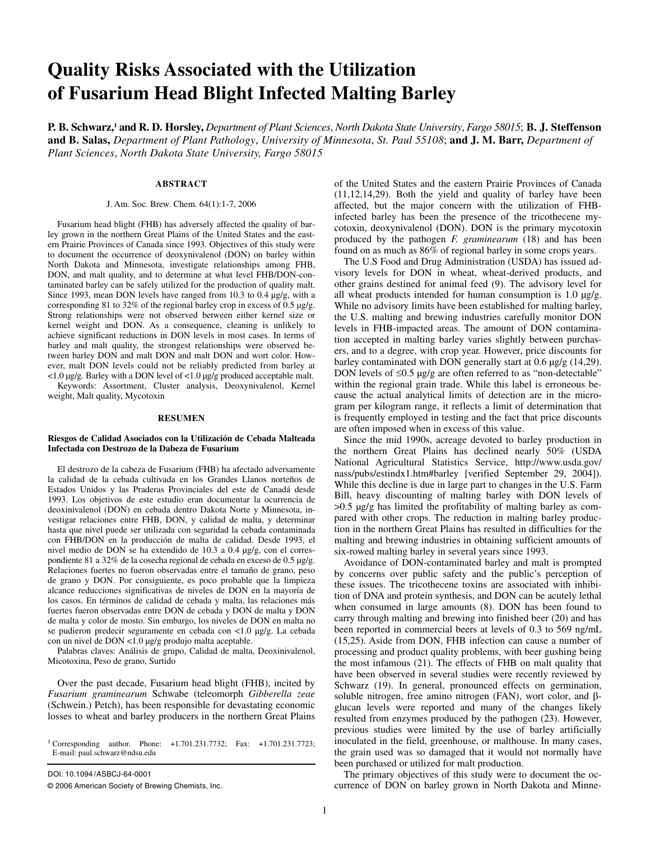# **Quality Risks Associated with the Utilization of Fusarium Head Blight Infected Malting Barley**

**P. B. Schwarz,1 and R. D. Horsley,** *Department of Plant Sciences*, *North Dakota State University*, *Fargo 58015*; **B. J. Steffenson and B. Salas,** *Department of Plant Pathology*, *University of Minnesota*, *St. Paul 55108*; **and J. M. Barr,** *Department of Plant Sciences*, *North Dakota State University, Fargo 58015*

#### **ABSTRACT**

#### J. Am. Soc. Brew. Chem. 64(1):1-7, 2006

Fusarium head blight (FHB) has adversely affected the quality of barley grown in the northern Great Plains of the United States and the eastern Prairie Provinces of Canada since 1993. Objectives of this study were to document the occurrence of deoxynivalenol (DON) on barley within North Dakota and Minnesota, investigate relationships among FHB, DON, and malt quality, and to determine at what level FHB/DON-contaminated barley can be safely utilized for the production of quality malt. Since 1993, mean DON levels have ranged from 10.3 to 0.4  $\mu$ g/g, with a corresponding 81 to 32% of the regional barley crop in excess of 0.5 μg/g. Strong relationships were not observed between either kernel size or kernel weight and DON. As a consequence, cleaning is unlikely to achieve significant reductions in DON levels in most cases. In terms of barley and malt quality, the strongest relationships were observed between barley DON and malt DON and malt DON and wort color. However, malt DON levels could not be reliably predicted from barley at <1.0 µg/g. Barley with a DON level of <1.0 µg/g produced acceptable malt. Keywords: Assortment, Cluster analysis, Deoxynivalenol, Kernel

weight, Malt quality, Mycotoxin

#### **RESUMEN**

#### **Riesgos de Calidad Asociados con la Utilización de Cebada Malteada Infectada con Destrozo de la Dabeza de Fusarium**

El destrozo de la cabeza de Fusarium (FHB) ha afectado adversamente la calidad de la cebada cultivada en los Grandes Llanos norteños de Estados Unidos y las Praderas Provinciales del este de Canadá desde 1993. Los objetivos de este estudio eran documentar la ocurrencia de deoxinivalenol (DON) en cebada dentro Dakota Norte y Minnesota, investigar relaciones entre FHB, DON, y calidad de malta, y determinar hasta que nivel puede ser utilizada con seguridad la cebada contaminada con FHB/DON en la producción de malta de calidad. Desde 1993, el nivel medio de DON se ha extendido de 10.3 a 0.4 µg/g, con el correspondiente 81 a 32% de la cosecha regional de cebada en exceso de 0.5 µg/g. Relaciones fuertes no fueron observadas entre el tamaño de grano, peso de grano y DON. Por consiguiente, es poco probable que la limpieza alcance reducciones significativas de niveles de DON en la mayoría de los casos. En términos de calidad de cebada y malta, las relaciones más fuertes fueron observadas entre DON de cebada y DON de malta y DON de malta y color de mosto. Sin embargo, los niveles de DON en malta no se pudieron predecir seguramente en cebada con <1.0 µg/g. La cebada con un nivel de DON <1.0 µg/g produjo malta aceptable.

Palabras claves: Análisis de grupo, Calidad de malta, Deoxinivalenol, Micotoxina, Peso de grano, Surtido

Over the past decade, Fusarium head blight (FHB), incited by *Fusarium graminearum* Schwabe (teleomorph *Gibberella zeae*  (Schwein.) Petch), has been responsible for devastating economic losses to wheat and barley producers in the northern Great Plains

DOI: 10.1094 /ASBCJ-64-0001

of the United States and the eastern Prairie Provinces of Canada (11,12,14,29). Both the yield and quality of barley have been affected, but the major concern with the utilization of FHBinfected barley has been the presence of the tricothecene mycotoxin, deoxynivalenol (DON). DON is the primary mycotoxin produced by the pathogen *F. graminearum* (18) and has been found on as much as 86% of regional barley in some crops years.

The U.S Food and Drug Administration (USDA) has issued advisory levels for DON in wheat, wheat-derived products, and other grains destined for animal feed (9). The advisory level for all wheat products intended for human consumption is 1.0 µg/g. While no advisory limits have been established for malting barley, the U.S. malting and brewing industries carefully monitor DON levels in FHB-impacted areas. The amount of DON contamination accepted in malting barley varies slightly between purchasers, and to a degree, with crop year. However, price discounts for barley contaminated with DON generally start at 0.6 µg/g (14,29). DON levels of  $\leq 0.5$  µg/g are often referred to as "non-detectable" within the regional grain trade. While this label is erroneous because the actual analytical limits of detection are in the microgram per kilogram range, it reflects a limit of determination that is frequently employed in testing and the fact that price discounts are often imposed when in excess of this value.

Since the mid 1990s, acreage devoted to barley production in the northern Great Plains has declined nearly 50% (USDA National Agricultural Statistics Service, http://www.usda.gov/ nass/pubs/estindx1.htm#barley [verified September 29, 2004]). While this decline is due in large part to changes in the U.S. Farm Bill, heavy discounting of malting barley with DON levels of >0.5 µg/g has limited the profitability of malting barley as compared with other crops. The reduction in malting barley production in the northern Great Plains has resulted in difficulties for the malting and brewing industries in obtaining sufficient amounts of six-rowed malting barley in several years since 1993.

Avoidance of DON-contaminated barley and malt is prompted by concerns over public safety and the public's perception of these issues. The tricothecene toxins are associated with inhibition of DNA and protein synthesis, and DON can be acutely lethal when consumed in large amounts (8). DON has been found to carry through malting and brewing into finished beer (20) and has been reported in commercial beers at levels of 0.3 to 569 ng/mL (15,25). Aside from DON, FHB infection can cause a number of processing and product quality problems, with beer gushing being the most infamous (21). The effects of FHB on malt quality that have been observed in several studies were recently reviewed by Schwarz (19). In general, pronounced effects on germination, soluble nitrogen, free amino nitrogen (FAN), wort color, and βglucan levels were reported and many of the changes likely resulted from enzymes produced by the pathogen (23). However, previous studies were limited by the use of barley artificially inoculated in the field, greenhouse, or malthouse. In many cases, the grain used was so damaged that it would not normally have been purchased or utilized for malt production.

The primary objectives of this study were to document the occurrence of DON on barley grown in North Dakota and Minne-

<sup>1</sup> Corresponding author. Phone: +1.701.231.7732; Fax: +1.701.231.7723; E-mail: paul.schwarz@ndsu.edu

<sup>© 2006</sup> American Society of Brewing Chemists, Inc.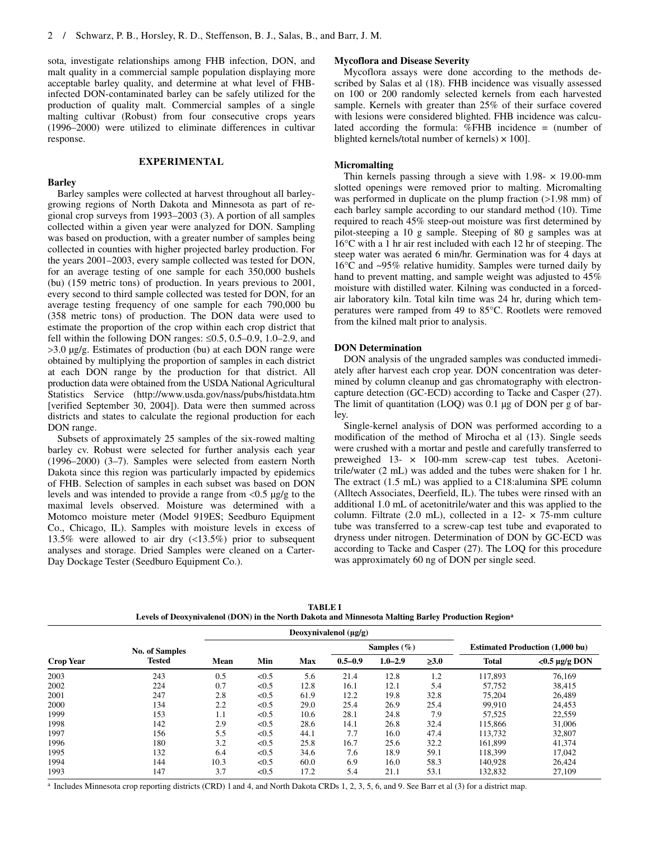sota, investigate relationships among FHB infection, DON, and malt quality in a commercial sample population displaying more acceptable barley quality, and determine at what level of FHBinfected DON-contaminated barley can be safely utilized for the production of quality malt. Commercial samples of a single malting cultivar (Robust) from four consecutive crops years (1996–2000) were utilized to eliminate differences in cultivar response.

## **EXPERIMENTAL**

## **Barley**

Barley samples were collected at harvest throughout all barleygrowing regions of North Dakota and Minnesota as part of regional crop surveys from 1993–2003 (3). A portion of all samples collected within a given year were analyzed for DON. Sampling was based on production, with a greater number of samples being collected in counties with higher projected barley production. For the years 2001–2003, every sample collected was tested for DON, for an average testing of one sample for each 350,000 bushels (bu) (159 metric tons) of production. In years previous to 2001, every second to third sample collected was tested for DON, for an average testing frequency of one sample for each 790,000 bu (358 metric tons) of production. The DON data were used to estimate the proportion of the crop within each crop district that fell within the following DON ranges: ≤0.5, 0.5–0.9, 1.0–2.9, and >3.0 µg/g. Estimates of production (bu) at each DON range were obtained by multiplying the proportion of samples in each district at each DON range by the production for that district. All production data were obtained from the USDA National Agricultural Statistics Service (http://www.usda.gov/nass/pubs/histdata.htm [verified September 30, 2004]). Data were then summed across districts and states to calculate the regional production for each DON range.

Subsets of approximately 25 samples of the six-rowed malting barley cv. Robust were selected for further analysis each year (1996–2000) (3–7). Samples were selected from eastern North Dakota since this region was particularly impacted by epidemics of FHB. Selection of samples in each subset was based on DON levels and was intended to provide a range from <0.5 µg/g to the maximal levels observed. Moisture was determined with a Motomco moisture meter (Model 919ES; Seedburo Equipment Co., Chicago, IL). Samples with moisture levels in excess of 13.5% were allowed to air dry (<13.5%) prior to subsequent analyses and storage. Dried Samples were cleaned on a Carter-Day Dockage Tester (Seedburo Equipment Co.).

## **Mycoflora and Disease Severity**

Mycoflora assays were done according to the methods described by Salas et al (18). FHB incidence was visually assessed on 100 or 200 randomly selected kernels from each harvested sample. Kernels with greater than 25% of their surface covered with lesions were considered blighted. FHB incidence was calculated according the formula: %FHB incidence = (number of blighted kernels/total number of kernels)  $\times$  100].

## **Micromalting**

Thin kernels passing through a sieve with  $1.98 - \times 19.00$ -mm slotted openings were removed prior to malting. Micromalting was performed in duplicate on the plump fraction (>1.98 mm) of each barley sample according to our standard method (10). Time required to reach 45% steep-out moisture was first determined by pilot-steeping a 10 g sample. Steeping of 80 g samples was at 16°C with a 1 hr air rest included with each 12 hr of steeping. The steep water was aerated 6 min/hr. Germination was for 4 days at 16°C and ~95% relative humidity. Samples were turned daily by hand to prevent matting, and sample weight was adjusted to 45% moisture with distilled water. Kilning was conducted in a forcedair laboratory kiln. Total kiln time was 24 hr, during which temperatures were ramped from 49 to 85°C. Rootlets were removed from the kilned malt prior to analysis.

## **DON Determination**

DON analysis of the ungraded samples was conducted immediately after harvest each crop year. DON concentration was determined by column cleanup and gas chromatography with electroncapture detection (GC-ECD) according to Tacke and Casper (27). The limit of quantitation (LOQ) was 0.1 µg of DON per g of barley.

Single-kernel analysis of DON was performed according to a modification of the method of Mirocha et al (13). Single seeds were crushed with a mortar and pestle and carefully transferred to preweighed 13- × 100-mm screw-cap test tubes. Acetonitrile/water (2 mL) was added and the tubes were shaken for 1 hr. The extract (1.5 mL) was applied to a C18:alumina SPE column (Alltech Associates, Deerfield, IL). The tubes were rinsed with an additional 1.0 mL of acetonitrile/water and this was applied to the column. Filtrate (2.0 mL), collected in a  $12- \times 75$ -mm culture tube was transferred to a screw-cap test tube and evaporated to dryness under nitrogen. Determination of DON by GC-ECD was according to Tacke and Casper (27). The LOQ for this procedure was approximately 60 ng of DON per single seed.

| ECTUS OF DUGA INTERNATION (DOTT) IN THE FOLKIL DRAGGRAPH INTERNATIONAL PRINTING DRIVEY I FOUNDLION INCOME |                       |      |                            |            |                |             |            |                                        |                    |
|-----------------------------------------------------------------------------------------------------------|-----------------------|------|----------------------------|------------|----------------|-------------|------------|----------------------------------------|--------------------|
|                                                                                                           |                       |      | Deoxynivalenol $(\mu g/g)$ |            |                |             |            |                                        |                    |
|                                                                                                           | <b>No. of Samples</b> |      |                            |            | Samples $(\%)$ |             |            | <b>Estimated Production (1,000 bu)</b> |                    |
| <b>Crop Year</b>                                                                                          | <b>Tested</b>         | Mean | Min                        | <b>Max</b> | $0.5 - 0.9$    | $1.0 - 2.9$ | $\geq 3.0$ | <b>Total</b>                           | $<0.5 \mu g/g$ DON |
| 2003                                                                                                      | 243                   | 0.5  | < 0.5                      | 5.6        | 21.4           | 12.8        | 1.2        | 117,893                                | 76.169             |
| 2002                                                                                                      | 224                   | 0.7  | < 0.5                      | 12.8       | 16.1           | 12.1        | 5.4        | 57.752                                 | 38,415             |
| 2001                                                                                                      | 247                   | 2.8  | < 0.5                      | 61.9       | 12.2           | 19.8        | 32.8       | 75.204                                 | 26,489             |
| 2000                                                                                                      | 134                   | 2.2  | < 0.5                      | 29.0       | 25.4           | 26.9        | 25.4       | 99.910                                 | 24.453             |
| 1999                                                                                                      | 153                   | 1.1  | < 0.5                      | 10.6       | 28.1           | 24.8        | 7.9        | 57.525                                 | 22,559             |
| 1998                                                                                                      | 142                   | 2.9  | < 0.5                      | 28.6       | 14.1           | 26.8        | 32.4       | 115,866                                | 31,006             |
| 1997                                                                                                      | 156                   | 5.5  | < 0.5                      | 44.1       | 7.7            | 16.0        | 47.4       | 113.732                                | 32,807             |
| 1996                                                                                                      | 180                   | 3.2  | < 0.5                      | 25.8       | 16.7           | 25.6        | 32.2       | 161.899                                | 41,374             |
| 1995                                                                                                      | 132                   | 6.4  | < 0.5                      | 34.6       | 7.6            | 18.9        | 59.1       | 118,399                                | 17,042             |
| 1994                                                                                                      | 144                   | 10.3 | < 0.5                      | 60.0       | 6.9            | 16.0        | 58.3       | 140.928                                | 26.424             |
| 1993                                                                                                      | 147                   | 3.7  | < 0.5                      | 17.2       | 5.4            | 21.1        | 53.1       | 132,832                                | 27,109             |

**TABLE I Levels of Deoxynivalenol (DON) in the North Dakota and Minnesota Malting Barley Production Regiona**

<sup>a</sup> Includes Minnesota crop reporting districts (CRD) 1 and 4, and North Dakota CRDs 1, 2, 3, 5, 6, and 9. See Barr et al (3) for a district map.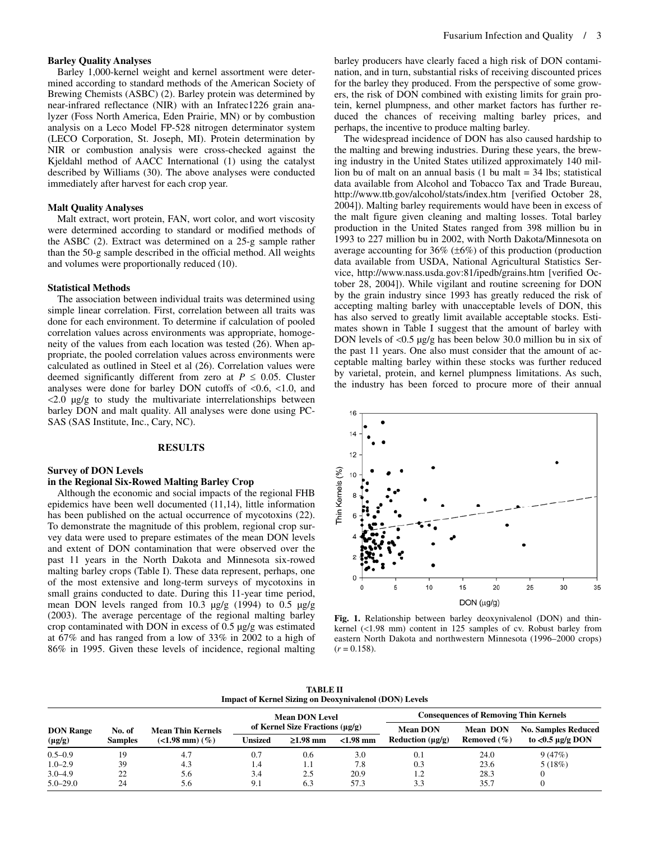## **Barley Quality Analyses**

Barley 1,000-kernel weight and kernel assortment were determined according to standard methods of the American Society of Brewing Chemists (ASBC) (2). Barley protein was determined by near-infrared reflectance (NIR) with an Infratec1226 grain analyzer (Foss North America, Eden Prairie, MN) or by combustion analysis on a Leco Model FP-528 nitrogen determinator system (LECO Corporation, St. Joseph, MI). Protein determination by NIR or combustion analysis were cross-checked against the Kjeldahl method of AACC International (1) using the catalyst described by Williams (30). The above analyses were conducted immediately after harvest for each crop year.

#### **Malt Quality Analyses**

Malt extract, wort protein, FAN, wort color, and wort viscosity were determined according to standard or modified methods of the ASBC (2). Extract was determined on a 25-g sample rather than the 50-g sample described in the official method. All weights and volumes were proportionally reduced (10).

#### **Statistical Methods**

The association between individual traits was determined using simple linear correlation. First, correlation between all traits was done for each environment. To determine if calculation of pooled correlation values across environments was appropriate, homogeneity of the values from each location was tested (26). When appropriate, the pooled correlation values across environments were calculated as outlined in Steel et al (26). Correlation values were deemed significantly different from zero at  $P \leq 0.05$ . Cluster analyses were done for barley DON cutoffs of <0.6, <1.0, and  $\langle 2.0 \rangle$   $\mu$ g/g to study the multivariate interrelationships between barley DON and malt quality. All analyses were done using PC-SAS (SAS Institute, Inc., Cary, NC).

#### **RESULTS**

## **Survey of DON Levels**

#### **in the Regional Six-Rowed Malting Barley Crop**

Although the economic and social impacts of the regional FHB epidemics have been well documented (11,14), little information has been published on the actual occurrence of mycotoxins (22). To demonstrate the magnitude of this problem, regional crop survey data were used to prepare estimates of the mean DON levels and extent of DON contamination that were observed over the past 11 years in the North Dakota and Minnesota six-rowed malting barley crops (Table I). These data represent, perhaps, one of the most extensive and long-term surveys of mycotoxins in small grains conducted to date. During this 11-year time period, mean DON levels ranged from 10.3 µg/g (1994) to 0.5 µg/g (2003). The average percentage of the regional malting barley crop contaminated with DON in excess of  $0.5 \mu g/g$  was estimated at 67% and has ranged from a low of 33% in 2002 to a high of 86% in 1995. Given these levels of incidence, regional malting barley producers have clearly faced a high risk of DON contamination, and in turn, substantial risks of receiving discounted prices for the barley they produced. From the perspective of some growers, the risk of DON combined with existing limits for grain protein, kernel plumpness, and other market factors has further reduced the chances of receiving malting barley prices, and perhaps, the incentive to produce malting barley.

The widespread incidence of DON has also caused hardship to the malting and brewing industries. During these years, the brewing industry in the United States utilized approximately 140 million bu of malt on an annual basis (1 bu malt = 34 lbs; statistical data available from Alcohol and Tobacco Tax and Trade Bureau, http://www.ttb.gov/alcohol/stats/index.htm [verified October 28, 2004]). Malting barley requirements would have been in excess of the malt figure given cleaning and malting losses. Total barley production in the United States ranged from 398 million bu in 1993 to 227 million bu in 2002, with North Dakota/Minnesota on average accounting for  $36\%$  ( $\pm 6\%$ ) of this production (production data available from USDA, National Agricultural Statistics Service, http://www.nass.usda.gov:81/ipedb/grains.htm [verified October 28, 2004]). While vigilant and routine screening for DON by the grain industry since 1993 has greatly reduced the risk of accepting malting barley with unacceptable levels of DON, this has also served to greatly limit available acceptable stocks. Estimates shown in Table I suggest that the amount of barley with DON levels of <0.5 µg/g has been below 30.0 million bu in six of the past 11 years. One also must consider that the amount of acceptable malting barley within these stocks was further reduced by varietal, protein, and kernel plumpness limitations. As such, the industry has been forced to procure more of their annual



**Fig. 1.** Relationship between barley deoxynivalenol (DON) and thinkernel (<1.98 mm) content in 125 samples of cv. Robust barley from eastern North Dakota and northwestern Minnesota (1996–2000 crops)  $(r = 0.158)$ .

**TABLE II Impact of Kernel Sizing on Deoxynivalenol (DON) Levels** 

|                  |                |                          | <b>Mean DON Level</b> |                                                    |             | <b>Consequences of Removing Thin Kernels</b> |                 |                            |  |
|------------------|----------------|--------------------------|-----------------------|----------------------------------------------------|-------------|----------------------------------------------|-----------------|----------------------------|--|
| <b>DON Range</b> | No. of         | <b>Mean Thin Kernels</b> |                       | of Kernel Size Fractions $(\mu \varrho / \varrho)$ |             | <b>Mean DON</b>                              | <b>Mean DON</b> | <b>No. Samples Reduced</b> |  |
| $(\mu g/g)$      | <b>Samples</b> | $(<1.98$ mm $)$ $(\%)$   | Unsized               | $\geq 1.98$ mm                                     | $<$ 1.98 mm | Reduction $(\mu \mathbf{g}/\mathbf{g})$      | Removed $(\% )$ | to $<0.5 \mu g/g$ DON      |  |
| $0.5 - 0.9$      | 19             | 4.7                      | 0.7                   | 0.6                                                | 3.0         | 0.1                                          | 24.0            | 9(47%)                     |  |
| $1.0 - 2.9$      | 39             | 4.3                      | 1.4                   | 1.1                                                | 7.8         | 0.3                                          | 23.6            | 5(18%)                     |  |
| $3.0 - 4.9$      | 22             | 5.6                      | 3.4                   | 2.5                                                | 20.9        | 1.2                                          | 28.3            |                            |  |
| $5.0 - 29.0$     | 24             | 5.6                      | 9.1                   | 6.3                                                | 57.3        | 3.3                                          | 35.7            |                            |  |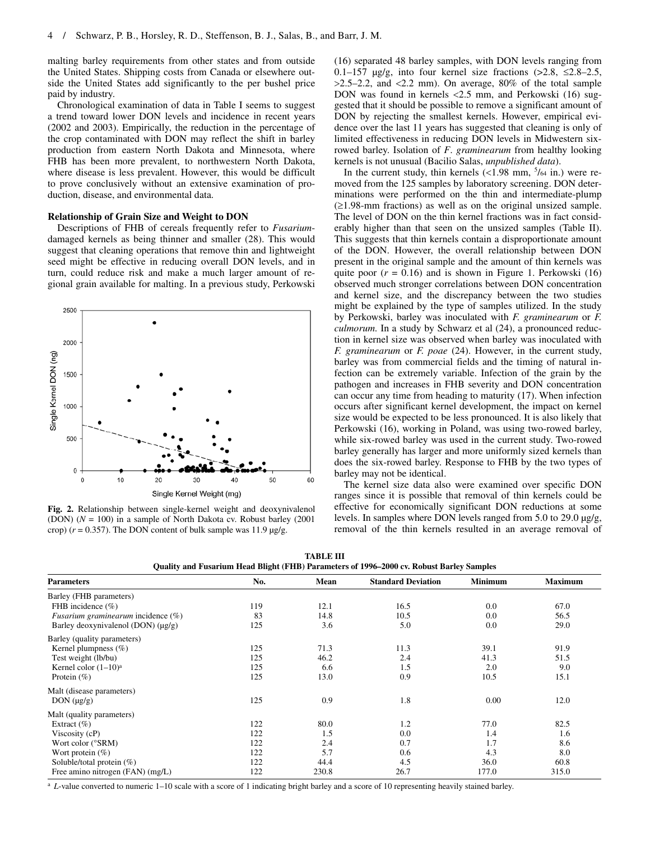malting barley requirements from other states and from outside the United States. Shipping costs from Canada or elsewhere outside the United States add significantly to the per bushel price paid by industry.

Chronological examination of data in Table I seems to suggest a trend toward lower DON levels and incidence in recent years (2002 and 2003). Empirically, the reduction in the percentage of the crop contaminated with DON may reflect the shift in barley production from eastern North Dakota and Minnesota, where FHB has been more prevalent, to northwestern North Dakota, where disease is less prevalent. However, this would be difficult to prove conclusively without an extensive examination of production, disease, and environmental data.

## **Relationship of Grain Size and Weight to DON**

Descriptions of FHB of cereals frequently refer to *Fusarium*damaged kernels as being thinner and smaller (28). This would suggest that cleaning operations that remove thin and lightweight seed might be effective in reducing overall DON levels, and in turn, could reduce risk and make a much larger amount of regional grain available for malting. In a previous study, Perkowski



**Fig. 2.** Relationship between single-kernel weight and deoxynivalenol (DON) (*N* = 100) in a sample of North Dakota cv. Robust barley (2001 crop)  $(r = 0.357)$ . The DON content of bulk sample was 11.9  $\mu$ g/g.

(16) separated 48 barley samples, with DON levels ranging from 0.1–157  $\mu$ g/g, into four kernel size fractions (>2.8,  $\leq$ 2.8–2.5,  $>2.5-2.2$ , and  $<2.2$  mm). On average, 80% of the total sample DON was found in kernels <2.5 mm, and Perkowski (16) suggested that it should be possible to remove a significant amount of DON by rejecting the smallest kernels. However, empirical evidence over the last 11 years has suggested that cleaning is only of limited effectiveness in reducing DON levels in Midwestern sixrowed barley. Isolation of *F*. *graminearum* from healthy looking kernels is not unusual (Bacilio Salas, *unpublished data*).

In the current study, thin kernels  $\left($  < 1.98 mm,  $\frac{5}{64}$  in.) were removed from the 125 samples by laboratory screening. DON determinations were performed on the thin and intermediate-plump (≥1.98-mm fractions) as well as on the original unsized sample. The level of DON on the thin kernel fractions was in fact considerably higher than that seen on the unsized samples (Table II). This suggests that thin kernels contain a disproportionate amount of the DON. However, the overall relationship between DON present in the original sample and the amount of thin kernels was quite poor  $(r = 0.16)$  and is shown in Figure 1. Perkowski  $(16)$ observed much stronger correlations between DON concentration and kernel size, and the discrepancy between the two studies might be explained by the type of samples utilized. In the study by Perkowski, barley was inoculated with *F. graminearum* or *F. culmorum.* In a study by Schwarz et al (24), a pronounced reduction in kernel size was observed when barley was inoculated with *F. graminearum* or *F. poae* (24). However, in the current study, barley was from commercial fields and the timing of natural infection can be extremely variable. Infection of the grain by the pathogen and increases in FHB severity and DON concentration can occur any time from heading to maturity (17). When infection occurs after significant kernel development, the impact on kernel size would be expected to be less pronounced. It is also likely that Perkowski (16), working in Poland, was using two-rowed barley, while six-rowed barley was used in the current study. Two-rowed barley generally has larger and more uniformly sized kernels than does the six-rowed barley. Response to FHB by the two types of barley may not be identical.

The kernel size data also were examined over specific DON ranges since it is possible that removal of thin kernels could be effective for economically significant DON reductions at some levels. In samples where DON levels ranged from 5.0 to 29.0 µg/g, removal of the thin kernels resulted in an average removal of

| TABLE III                                                                                |
|------------------------------------------------------------------------------------------|
| Quality and Fusarium Head Blight (FHB) Parameters of 1996–2000 cv. Robust Barley Samples |

| <b>Parameters</b>                            | No. | Mean  | <b>Standard Deviation</b> | <b>Minimum</b> | <b>Maximum</b> |
|----------------------------------------------|-----|-------|---------------------------|----------------|----------------|
| Barley (FHB parameters)                      |     |       |                           |                |                |
| FHB incidence $(\% )$                        | 119 | 12.1  | 16.5                      | 0.0            | 67.0           |
| <i>Fusarium graminearum</i> incidence $(\%)$ | 83  | 14.8  | 10.5                      | 0.0            | 56.5           |
| Barley deoxynivalenol (DON) $(\mu g/g)$      | 125 | 3.6   | 5.0                       | 0.0            | 29.0           |
| Barley (quality parameters)                  |     |       |                           |                |                |
| Kernel plumpness $(\%)$                      | 125 | 71.3  | 11.3                      | 39.1           | 91.9           |
| Test weight (lb/bu)                          | 125 | 46.2  | 2.4                       | 41.3           | 51.5           |
| Kernel color $(1-10)^a$                      | 125 | 6.6   | 1.5                       | 2.0            | 9.0            |
| Protein $(\% )$                              | 125 | 13.0  | 0.9                       | 10.5           | 15.1           |
| Malt (disease parameters)                    |     |       |                           |                |                |
| $DON(\mu g/g)$                               | 125 | 0.9   | 1.8                       | 0.00           | 12.0           |
| Malt (quality parameters)                    |     |       |                           |                |                |
| Extract $(\% )$                              | 122 | 80.0  | 1.2                       | 77.0           | 82.5           |
| Viscosity (cP)                               | 122 | 1.5   | 0.0                       | 1.4            | 1.6            |
| Wort color (°SRM)                            | 122 | 2.4   | 0.7                       | 1.7            | 8.6            |
| Wort protein $(\%)$                          | 122 | 5.7   | 0.6                       | 4.3            | 8.0            |
| Soluble/total protein $(\%)$                 | 122 | 44.4  | 4.5                       | 36.0           | 60.8           |
| Free amino nitrogen (FAN) (mg/L)             | 122 | 230.8 | 26.7                      | 177.0          | 315.0          |

<sup>a</sup> *L*-value converted to numeric 1–10 scale with a score of 1 indicating bright barley and a score of 10 representing heavily stained barley.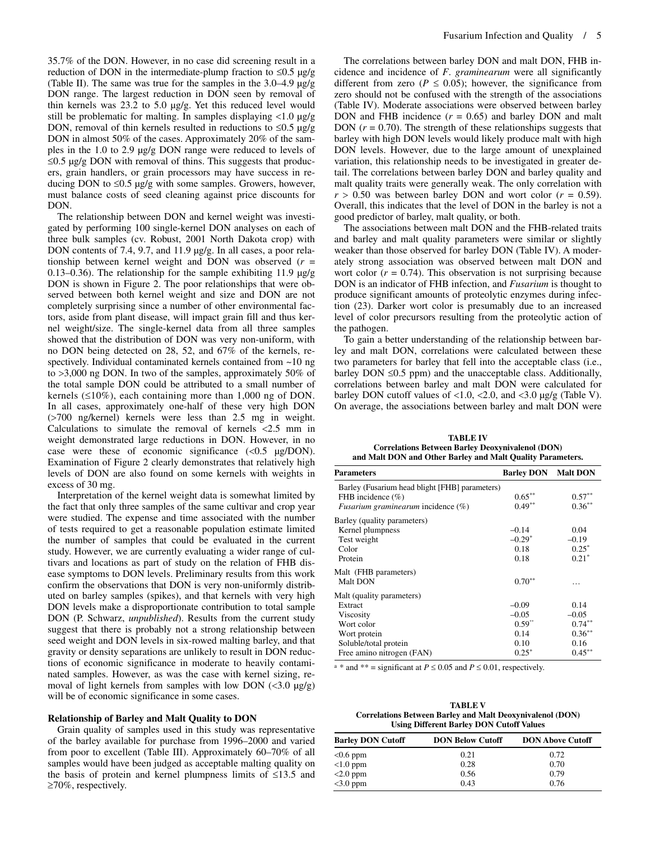35.7% of the DON. However, in no case did screening result in a reduction of DON in the intermediate-plump fraction to  $\leq 0.5$  µg/g (Table II). The same was true for the samples in the 3.0–4.9 µg/g DON range. The largest reduction in DON seen by removal of thin kernels was 23.2 to 5.0 µg/g. Yet this reduced level would still be problematic for malting. In samples displaying <1.0 µg/g DON, removal of thin kernels resulted in reductions to  $\leq 0.5$  µg/g DON in almost 50% of the cases. Approximately 20% of the samples in the 1.0 to 2.9 µg/g DON range were reduced to levels of  $≤0.5 \mu g/g$  DON with removal of thins. This suggests that producers, grain handlers, or grain processors may have success in reducing DON to ≤0.5  $\mu$ g/g with some samples. Growers, however, must balance costs of seed cleaning against price discounts for DON.

The relationship between DON and kernel weight was investigated by performing 100 single-kernel DON analyses on each of three bulk samples (cv. Robust, 2001 North Dakota crop) with DON contents of 7.4, 9.7, and 11.9 µg/g. In all cases, a poor relationship between kernel weight and DON was observed (*r* = 0.13–0.36). The relationship for the sample exhibiting 11.9 µg/g DON is shown in Figure 2. The poor relationships that were observed between both kernel weight and size and DON are not completely surprising since a number of other environmental factors, aside from plant disease, will impact grain fill and thus kernel weight/size. The single-kernel data from all three samples showed that the distribution of DON was very non-uniform, with no DON being detected on 28, 52, and 67% of the kernels, respectively. Individual contaminated kernels contained from ~10 ng to >3,000 ng DON. In two of the samples, approximately 50% of the total sample DON could be attributed to a small number of kernels (≤10%), each containing more than 1,000 ng of DON. In all cases, approximately one-half of these very high DON (>700 ng/kernel) kernels were less than 2.5 mg in weight. Calculations to simulate the removal of kernels  $\langle 2.5 \rangle$  mm in weight demonstrated large reductions in DON. However, in no case were these of economic significance  $\langle$  <0.5  $\mu$ g/DON). Examination of Figure 2 clearly demonstrates that relatively high levels of DON are also found on some kernels with weights in excess of 30 mg.

Interpretation of the kernel weight data is somewhat limited by the fact that only three samples of the same cultivar and crop year were studied. The expense and time associated with the number of tests required to get a reasonable population estimate limited the number of samples that could be evaluated in the current study. However, we are currently evaluating a wider range of cultivars and locations as part of study on the relation of FHB disease symptoms to DON levels. Preliminary results from this work confirm the observations that DON is very non-uniformly distributed on barley samples (spikes), and that kernels with very high DON levels make a disproportionate contribution to total sample DON (P. Schwarz, *unpublished*). Results from the current study suggest that there is probably not a strong relationship between seed weight and DON levels in six-rowed malting barley, and that gravity or density separations are unlikely to result in DON reductions of economic significance in moderate to heavily contaminated samples. However, as was the case with kernel sizing, removal of light kernels from samples with low DON  $\left($ <3.0  $\mu$ g/g) will be of economic significance in some cases.

## **Relationship of Barley and Malt Quality to DON**

Grain quality of samples used in this study was representative of the barley available for purchase from 1996–2000 and varied from poor to excellent (Table III). Approximately 60–70% of all samples would have been judged as acceptable malting quality on the basis of protein and kernel plumpness limits of ≤13.5 and ≥70%, respectively.

The correlations between barley DON and malt DON, FHB incidence and incidence of *F*. *graminearum* were all significantly different from zero ( $P \le 0.05$ ); however, the significance from zero should not be confused with the strength of the associations (Table IV). Moderate associations were observed between barley DON and FHB incidence  $(r = 0.65)$  and barley DON and malt DON  $(r = 0.70)$ . The strength of these relationships suggests that barley with high DON levels would likely produce malt with high DON levels. However, due to the large amount of unexplained variation, this relationship needs to be investigated in greater detail. The correlations between barley DON and barley quality and malt quality traits were generally weak. The only correlation with  $r > 0.50$  was between barley DON and wort color ( $r = 0.59$ ). Overall, this indicates that the level of DON in the barley is not a good predictor of barley, malt quality, or both.

The associations between malt DON and the FHB-related traits and barley and malt quality parameters were similar or slightly weaker than those observed for barley DON (Table IV). A moderately strong association was observed between malt DON and wort color  $(r = 0.74)$ . This observation is not surprising because DON is an indicator of FHB infection, and *Fusarium* is thought to produce significant amounts of proteolytic enzymes during infection (23). Darker wort color is presumably due to an increased level of color precursors resulting from the proteolytic action of the pathogen.

To gain a better understanding of the relationship between barley and malt DON, correlations were calculated between these two parameters for barley that fell into the acceptable class (i.e., barley DON ≤0.5 ppm) and the unacceptable class. Additionally, correlations between barley and malt DON were calculated for barley DON cutoff values of <1.0, <2.0, and <3.0 µg/g (Table V). On average, the associations between barley and malt DON were

**TABLE IV Correlations Between Barley Deoxynivalenol (DON) and Malt DON and Other Barley and Malt Quality Parameters.** 

| <b>Parameters</b>                              | <b>Barley DON</b> Malt DON |           |
|------------------------------------------------|----------------------------|-----------|
| Barley (Fusarium head blight [FHB] parameters) |                            |           |
| FHB incidence $(\% )$                          | $0.65***$                  | $0.57***$ |
| <i>Fusarium graminearum</i> incidence $(\%)$   | $0.49**$                   | $0.36***$ |
| Barley (quality parameters)                    |                            |           |
| Kernel plumpness                               | $-0.14$                    | 0.04      |
| Test weight                                    | $-0.29*$                   | $-0.19$   |
| Color                                          | 0.18                       | $0.25*$   |
| Protein                                        | 0.18                       | $0.21*$   |
| Malt (FHB parameters)                          |                            |           |
| Malt DON                                       | $0.70**$                   | .         |
| Malt (quality parameters)                      |                            |           |
| Extract                                        | $-0.09$                    | 0.14      |
| <b>Viscosity</b>                               | $-0.05$                    | $-0.05$   |
| Wort color                                     | $0.59^{10}$                | $0.74***$ |
| Wort protein                                   | 0.14                       | $0.36***$ |
| Soluble/total protein                          | 0.10                       | 0.16      |
| Free amino nitrogen (FAN)                      | $0.25^*$                   | $0.45***$ |

<sup>a</sup> \* and \*\* = significant at  $P \le 0.05$  and  $P \le 0.01$ , respectively.

**TABLE V Correlations Between Barley and Malt Deoxynivalenol (DON) Using Different Barley DON Cutoff Values** 

| <b>Barley DON Cutoff</b> | <b>DON Below Cutoff</b> | <b>DON Above Cutoff</b> |
|--------------------------|-------------------------|-------------------------|
| $<0.6$ ppm               | 0.21                    | 0.72                    |
| $<1.0$ ppm               | 0.28                    | 0.70                    |
| $<$ 2.0 ppm              | 0.56                    | 0.79                    |
| $<$ 3.0 ppm              | 0.43                    | 0.76                    |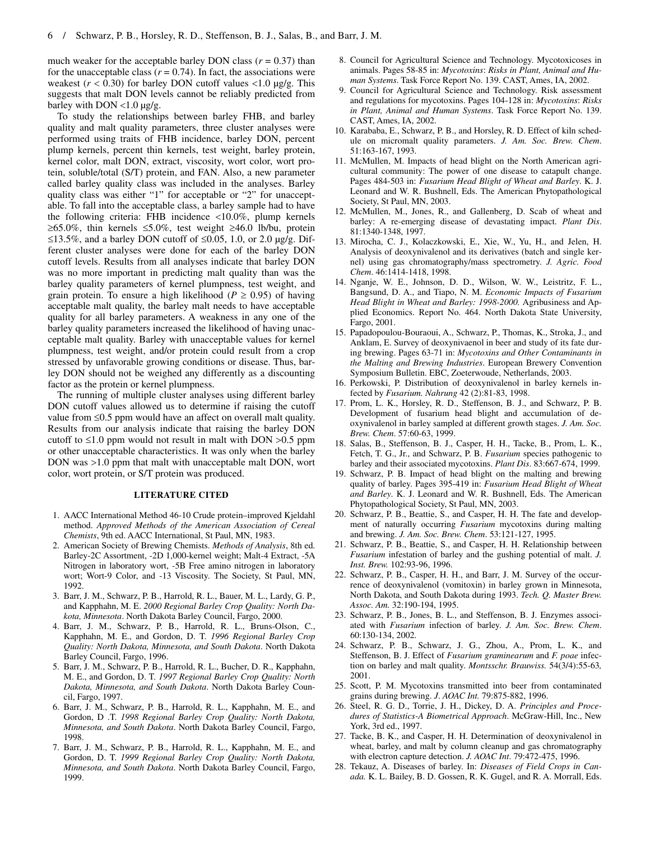much weaker for the acceptable barley DON class  $(r = 0.37)$  than for the unacceptable class  $(r = 0.74)$ . In fact, the associations were weakest  $(r < 0.30)$  for barley DON cutoff values  $< 1.0 \mu g/g$ . This suggests that malt DON levels cannot be reliably predicted from barley with DON <1.0 µg/g.

To study the relationships between barley FHB, and barley quality and malt quality parameters, three cluster analyses were performed using traits of FHB incidence, barley DON, percent plump kernels, percent thin kernels, test weight, barley protein, kernel color, malt DON, extract, viscosity, wort color, wort protein, soluble/total (S/T) protein, and FAN. Also, a new parameter called barley quality class was included in the analyses. Barley quality class was either "1" for acceptable or "2" for unacceptable. To fall into the acceptable class, a barley sample had to have the following criteria: FHB incidence <10.0%, plump kernels  $≥65.0\%$ , thin kernels ≤5.0%, test weight ≥46.0 lb/bu, protein ≤13.5%, and a barley DON cutoff of ≤0.05, 1.0, or 2.0 µg/g. Different cluster analyses were done for each of the barley DON cutoff levels. Results from all analyses indicate that barley DON was no more important in predicting malt quality than was the barley quality parameters of kernel plumpness, test weight, and grain protein. To ensure a high likelihood ( $P \ge 0.95$ ) of having acceptable malt quality, the barley malt needs to have acceptable quality for all barley parameters. A weakness in any one of the barley quality parameters increased the likelihood of having unacceptable malt quality. Barley with unacceptable values for kernel plumpness, test weight, and/or protein could result from a crop stressed by unfavorable growing conditions or disease. Thus, barley DON should not be weighed any differently as a discounting factor as the protein or kernel plumpness.

The running of multiple cluster analyses using different barley DON cutoff values allowed us to determine if raising the cutoff value from ≤0.5 ppm would have an affect on overall malt quality. Results from our analysis indicate that raising the barley DON cutoff to  $\leq 1.0$  ppm would not result in malt with DON  $> 0.5$  ppm or other unacceptable characteristics. It was only when the barley DON was >1.0 ppm that malt with unacceptable malt DON, wort color, wort protein, or S/T protein was produced.

#### **LITERATURE CITED**

- 1. AACC International Method 46-10 Crude protein–improved Kjeldahl method. *Approved Methods of the American Association of Cereal Chemists*, 9th ed. AACC International, St Paul, MN, 1983.
- 2. American Society of Brewing Chemists. *Methods of Analysis*, 8th ed. Barley-2C Assortment, -2D 1,000-kernel weight; Malt-4 Extract, -5A Nitrogen in laboratory wort, -5B Free amino nitrogen in laboratory wort; Wort-9 Color, and -13 Viscosity. The Society, St Paul, MN, 1992.
- 3. Barr, J. M., Schwarz, P. B., Harrold, R. L., Bauer, M. L., Lardy, G. P., and Kapphahn, M. E. *2000 Regional Barley Crop Quality: North Dakota, Minnesota*. North Dakota Barley Council, Fargo, 2000.
- 4. Barr, J. M., Schwarz, P. B., Harrold, R. L., Bruns-Olson, C., Kapphahn, M. E., and Gordon, D. T. *1996 Regional Barley Crop Quality: North Dakota, Minnesota, and South Dakota*. North Dakota Barley Council, Fargo, 1996.
- 5. Barr, J. M., Schwarz, P. B., Harrold, R. L., Bucher, D. R., Kapphahn, M. E., and Gordon, D. T. *1997 Regional Barley Crop Quality: North Dakota, Minnesota, and South Dakota*. North Dakota Barley Council, Fargo, 1997.
- 6. Barr, J. M., Schwarz, P. B., Harrold, R. L., Kapphahn, M. E., and Gordon, D .T. *1998 Regional Barley Crop Quality: North Dakota, Minnesota, and South Dakota*. North Dakota Barley Council, Fargo, 1998.
- 7. Barr, J. M., Schwarz, P. B., Harrold, R. L., Kapphahn, M. E., and Gordon, D. T. *1999 Regional Barley Crop Quality: North Dakota, Minnesota, and South Dakota*. North Dakota Barley Council, Fargo, 1999.
- 8. Council for Agricultural Science and Technology. Mycotoxicoses in animals. Pages 58-85 in: *Mycotoxins*: *Risks in Plant, Animal and Human Systems*. Task Force Report No. 139. CAST, Ames, IA, 2002.
- 9. Council for Agricultural Science and Technology. Risk assessment and regulations for mycotoxins. Pages 104-128 in: *Mycotoxins*: *Risks in Plant, Animal and Human Systems*. Task Force Report No. 139. CAST, Ames, IA, 2002.
- 10. Karababa, E., Schwarz, P. B., and Horsley, R. D. Effect of kiln schedule on micromalt quality parameters. *J. Am. Soc. Brew. Chem*. 51:163-167, 1993.
- 11. McMullen, M. Impacts of head blight on the North American agricultural community: The power of one disease to catapult change. Pages 484-503 in: *Fusarium Head Blight of Wheat and Barley*. K. J. Leonard and W. R. Bushnell, Eds. The American Phytopathological Society, St Paul, MN, 2003.
- 12. McMullen, M., Jones, R., and Gallenberg, D. Scab of wheat and barley: A re-emerging disease of devastating impact. *Plant Dis*. 81:1340-1348, 1997.
- 13. Mirocha, C. J., Kolaczkowski, E., Xie, W., Yu, H., and Jelen, H. Analysis of deoxynivalenol and its derivatives (batch and single kernel) using gas chromatography/mass spectrometry. *J. Agric. Food Chem*. 46:1414-1418, 1998.
- 14. Nganje, W. E., Johnson, D. D., Wilson, W. W., Leistritz, F. L., Bangsund, D. A., and Tiapo, N. M. *Economic Impacts of Fusarium Head Blight in Wheat and Barley: 1998-2000.* Agribusiness and Applied Economics. Report No. 464. North Dakota State University, Fargo, 2001.
- 15. Papadopoulou-Bouraoui, A., Schwarz, P., Thomas, K., Stroka, J., and Anklam, E. Survey of deoxynivaenol in beer and study of its fate during brewing. Pages 63-71 in: *Mycotoxins and Other Contaminants in the Malting and Brewing Industries*. European Brewery Convention Symposium Bulletin. EBC, Zoeterwoude, Netherlands, 2003.
- 16. Perkowski, P. Distribution of deoxynivalenol in barley kernels infected by *Fusarium. Nahrung* 42 (2):81-83, 1998.
- 17. Prom, L. K., Horsley, R. D., Steffenson, B. J., and Schwarz, P. B. Development of fusarium head blight and accumulation of deoxynivalenol in barley sampled at different growth stages. *J. Am. Soc. Brew. Chem*. 57:60-63, 1999.
- 18. Salas, B., Steffenson, B. J., Casper, H. H., Tacke, B., Prom, L. K., Fetch, T. G., Jr., and Schwarz, P. B. *Fusarium* species pathogenic to barley and their associated mycotoxins. *Plant Dis*. 83:667-674, 1999.
- 19. Schwarz, P. B. Impact of head blight on the malting and brewing quality of barley. Pages 395-419 in: *Fusarium Head Blight of Wheat and Barley*. K. J. Leonard and W. R. Bushnell, Eds. The American Phytopathological Society, St Paul, MN, 2003.
- 20. Schwarz, P. B., Beattie, S., and Casper, H. H. The fate and development of naturally occurring *Fusarium* mycotoxins during malting and brewing. *J. Am. Soc. Brew. Chem*. 53:121-127, 1995.
- 21. Schwarz, P. B., Beattie, S., and Casper, H. H. Relationship between *Fusarium* infestation of barley and the gushing potential of malt. *J. Inst. Brew.* 102:93-96, 1996.
- 22. Schwarz, P. B., Casper, H. H., and Barr, J. M. Survey of the occurrence of deoxynivalenol (vomitoxin) in barley grown in Minnesota, North Dakota, and South Dakota during 1993. *Tech. Q. Master Brew. Assoc. Am.* 32:190-194, 1995.
- 23. Schwarz, P. B., Jones, B. L., and Steffenson, B. J. Enzymes associated with *Fusarium* infection of barley. *J. Am. Soc. Brew. Chem*. 60:130-134, 2002.
- 24. Schwarz, P. B., Schwarz, J. G., Zhou, A., Prom, L. K., and Steffenson, B. J. Effect of *Fusarium graminearum* and *F. poae* infection on barley and malt quality. *Montsschr. Brauwiss.* 54(3/4):55-63*,*  2001.
- 25. Scott, P. M. Mycotoxins transmitted into beer from contaminated grains during brewing. *J*. *AOAC Int.* 79:875-882, 1996.
- 26. Steel, R. G. D., Torrie, J. H., Dickey, D. A. *Principles and Procedures of Statistics-A Biometrical Approach*. McGraw-Hill, Inc., New York, 3rd ed., 1997.
- 27. Tacke, B. K., and Casper, H. H. Determination of deoxynivalenol in wheat, barley, and malt by column cleanup and gas chromatography with electron capture detection. *J. AOAC Int*. 79:472-475, 1996.
- 28. Tekauz, A. Diseases of barley. In: *Diseases of Field Crops in Canada.* K. L. Bailey, B. D. Gossen, R. K. Gugel, and R. A. Morrall, Eds.